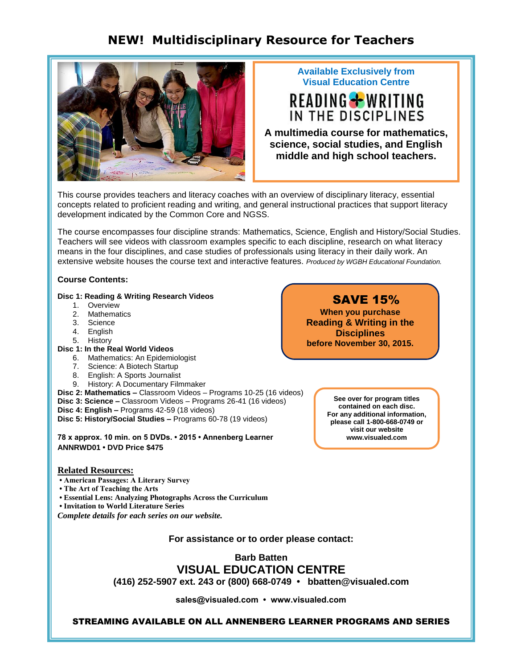# **NEW! Multidisciplinary Resource for Teachers**



## **Available Exclusively from Visual Education Centre**

# READING + WRITING IN THE DISCIPLINES

**A multimedia course for mathematics, science, social studies, and English middle and high school teachers.**

This course provides teachers and literacy coaches with an overview of disciplinary literacy, essential concepts related to proficient reading and writing, and general instructional practices that support literacy development indicated by the Common Core and NGSS.

The course encompasses four discipline strands: Mathematics, Science, English and History/Social Studies. Teachers will see videos with classroom examples specific to each discipline, research on what literacy means in the four disciplines, and case studies of professionals using literacy in their daily work. An extensive website houses the course text and interactive features. *Produced by WGBH Educational Foundation.* 

## **Course Contents:**

## **Disc 1: Reading & Writing Research Videos**

- 1. Overview
- 2. Mathematics
- 3. Science
- 4. English
- 5. History

# **Disc 1: In the Real World Videos**

- 6. Mathematics: An Epidemiologist
- 7. Science: A Biotech Startup
- 8. English: A Sports Journalist
- 9. History: A Documentary Filmmaker
- **Disc 2: Mathematics –** Classroom Videos Programs 10-25 (16 videos)
- **Disc 3: Science –** Classroom Videos Programs 26-41 (16 videos)
- **Disc 4: English –** Programs 42-59 (18 videos)
- **Disc 5: History/Social Studies –** Programs 60-78 (19 videos)

**78 x approx. 10 min. on 5 DVDs. • 2015 • Annenberg Learner ANNRWD01 • DVD Price \$475**

**See over for program titles contained on each disc. For any additional information, please call 1-800-668-0749 or visit our website www.visualed.com**

## **Related Resources:**

**• American Passages: A Literary Survey** 

**• The Art of Teaching the Arts** 

- **Essential Lens: Analyzing Photographs Across the Curriculum**
- **Invitation to World Literature Series**

*Complete details for each series on our website.*

## **For assistance or to order please contact:**

**Barb Batten**

# **VISUAL EDUCATION CENTRE**

**(416) 252-5907 ext. 243 or (800) 668-0749 • bbatten@visualed.com**

**sales@visualed.com • www.visualed.com**

STREAMING AVAILABLE ON ALL ANNENBERG LEARNER PROGRAMS AND SERIES

## SAVE 15%

**When you purchase Reading & Writing in the Disciplines before November 30, 2015.**